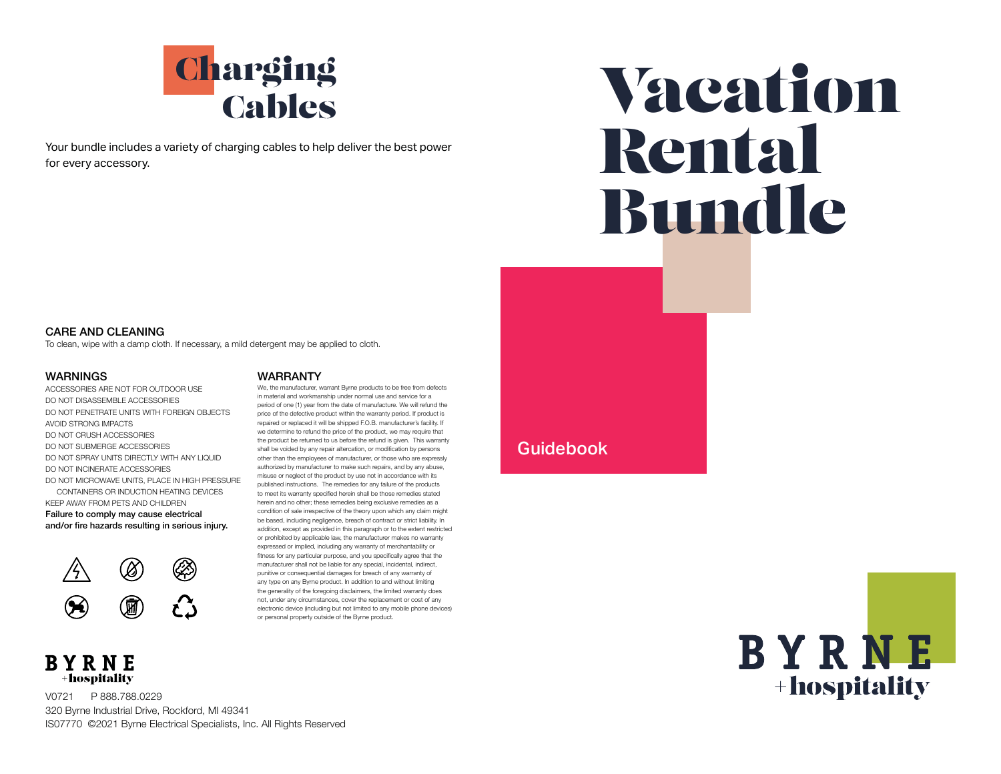

Your bundle includes a variety of charging cables to help deliver the best power for every accessory.

# Vacation Rental Bundle

### CARE AND CLEANING

To clean, wipe with a damp cloth. If necessary, a mild detergent may be applied to cloth.

#### WARNINGS

ACCESSORIES ARE NOT FOR OUTDOOR USE DO NOT DISASSEMBLE ACCESSORIES DO NOT PENETRATE UNITS WITH FOREIGN OBJECTS AVOID STRONG IMPACTS DO NOT CRUSH ACCESSORIES DO NOT SUBMERGE ACCESSORIES DO NOT SPRAY UNITS DIRECTLY WITH ANY LIQUID DO NOT INCINERATE ACCESSORIES DO NOT MICROWAVE UNITS, PLACE IN HIGH PRESSURE CONTAINERS OR INDUCTION HEATING DEVICES KEEP AWAY FROM PETS AND CHILDREN Failure to comply may cause electrical and/or fire hazards resulting in serious injury.



## **BYRNE** +hospitality

V0721 P 888.788.0229 320 Byrne Industrial Drive, Rockford, MI 49341 IS07770 ©2021 Byrne Electrical Specialists, Inc. All Rights Reserved

#### WARRANTY

We, the manufacturer, warrant Byrne products to be free from defects in material and workmanship under normal use and service for a period of one (1) year from the date of manufacture. We will refund the price of the defective product within the warranty period. If product is repaired or replaced it will be shipped F.O.B. manufacturer's facility. If we determine to refund the price of the product, we may require that the product be returned to us before the refund is given. This warranty shall be voided by any repair altercation, or modification by persons other than the employees of manufacturer, or those who are expressly authorized by manufacturer to make such repairs, and by any abuse, misuse or neglect of the product by use not in accordance with its published instructions. The remedies for any failure of the products to meet its warranty specified herein shall be those remedies stated herein and no other; these remedies being exclusive remedies as a condition of sale irrespective of the theory upon which any claim might be based, including negligence, breach of contract or strict liability. In addition, except as provided in this paragraph or to the extent restricted or prohibited by applicable law, the manufacturer makes no warranty expressed or implied, including any warranty of merchantability or fitness for any particular purpose, and you specifically agree that the manufacturer shall not be liable for any special, incidental, indirect, punitive or consequential damages for breach of any warranty of any type on any Byrne product. In addition to and without limiting the generality of the foregoing disclaimers, the limited warranty does not, under any circumstances, cover the replacement or cost of any electronic device (including but not limited to any mobile phone devices) or personal property outside of the Byrne product.

# Guidebook